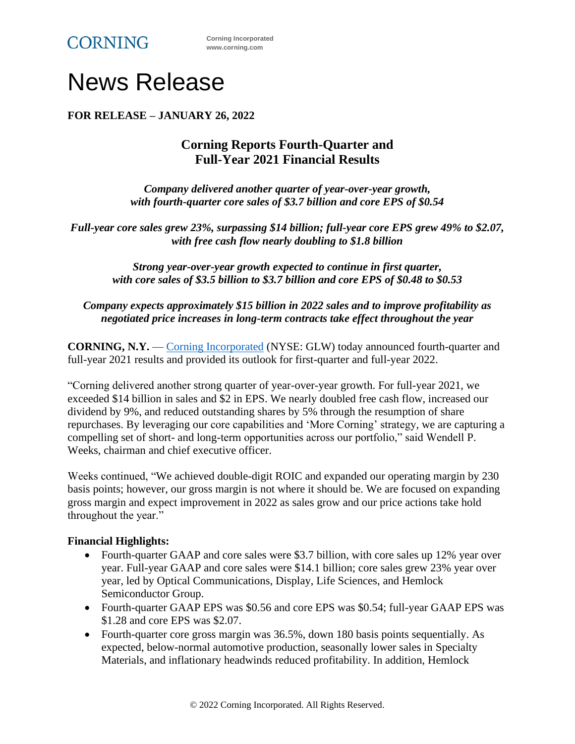

# News Release

# **FOR RELEASE – JANUARY 26, 2022**

# **Corning Reports Fourth-Quarter and Full-Year 2021 Financial Results**

*Company delivered another quarter of year-over-year growth, with fourth-quarter core sales of \$3.7 billion and core EPS of \$0.54* 

*Full-year core sales grew 23%, surpassing \$14 billion; full-year core EPS grew 49% to \$2.07, with free cash flow nearly doubling to \$1.8 billion*

*Strong year-over-year growth expected to continue in first quarter, with core sales of \$3.5 billion to \$3.7 billion and core EPS of \$0.48 to \$0.53*

#### *Company expects approximately \$15 billion in 2022 sales and to improve profitability as negotiated price increases in long-term contracts take effect throughout the year*

**CORNING, N.Y.** — [Corning Incorporated](https://www.corning.com/worldwide/en.html) (NYSE: GLW) today announced fourth-quarter and full-year 2021 results and provided its outlook for first-quarter and full-year 2022.

"Corning delivered another strong quarter of year-over-year growth. For full-year 2021, we exceeded \$14 billion in sales and \$2 in EPS. We nearly doubled free cash flow, increased our dividend by 9%, and reduced outstanding shares by 5% through the resumption of share repurchases. By leveraging our core capabilities and 'More Corning' strategy, we are capturing a compelling set of short- and long-term opportunities across our portfolio," said Wendell P. Weeks, chairman and chief executive officer.

Weeks continued, "We achieved double-digit ROIC and expanded our operating margin by 230 basis points; however, our gross margin is not where it should be. We are focused on expanding gross margin and expect improvement in 2022 as sales grow and our price actions take hold throughout the year."

#### **Financial Highlights:**

- Fourth-quarter GAAP and core sales were \$3.7 billion, with core sales up 12% year over year. Full-year GAAP and core sales were \$14.1 billion; core sales grew 23% year over year, led by Optical Communications, Display, Life Sciences, and Hemlock Semiconductor Group.
- Fourth-quarter GAAP EPS was \$0.56 and core EPS was \$0.54; full-year GAAP EPS was \$1.28 and core EPS was \$2.07.
- Fourth-quarter core gross margin was 36.5%, down 180 basis points sequentially. As expected, below-normal automotive production, seasonally lower sales in Specialty Materials, and inflationary headwinds reduced profitability. In addition, Hemlock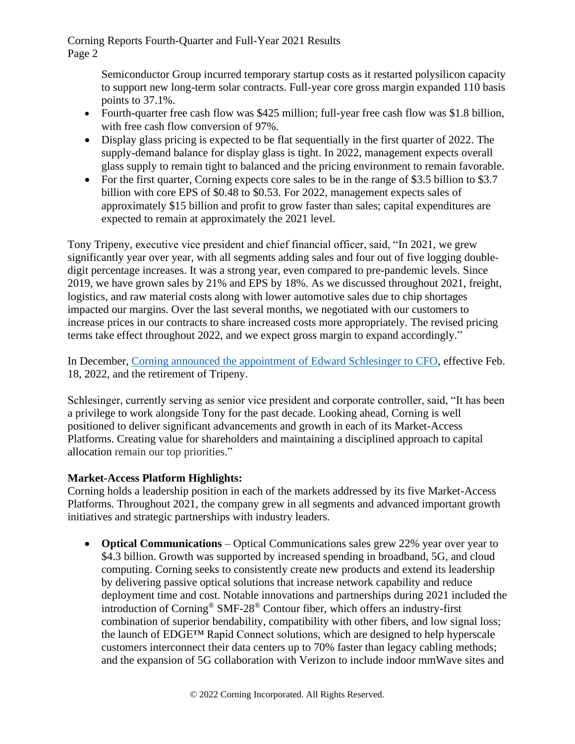> Semiconductor Group incurred temporary startup costs as it restarted polysilicon capacity to support new long-term solar contracts. Full-year core gross margin expanded 110 basis points to 37.1%.

- Fourth-quarter free cash flow was \$425 million; full-year free cash flow was \$1.8 billion, with free cash flow conversion of 97%.
- Display glass pricing is expected to be flat sequentially in the first quarter of 2022. The supply-demand balance for display glass is tight. In 2022, management expects overall glass supply to remain tight to balanced and the pricing environment to remain favorable.
- For the first quarter, Corning expects core sales to be in the range of \$3.5 billion to \$3.7 billion with core EPS of \$0.48 to \$0.53. For 2022, management expects sales of approximately \$15 billion and profit to grow faster than sales; capital expenditures are expected to remain at approximately the 2021 level.

Tony Tripeny, executive vice president and chief financial officer, said, "In 2021, we grew significantly year over year, with all segments adding sales and four out of five logging doubledigit percentage increases. It was a strong year, even compared to pre-pandemic levels. Since 2019, we have grown sales by 21% and EPS by 18%. As we discussed throughout 2021, freight, logistics, and raw material costs along with lower automotive sales due to chip shortages impacted our margins. Over the last several months, we negotiated with our customers to increase prices in our contracts to share increased costs more appropriately. The revised pricing terms take effect throughout 2022, and we expect gross margin to expand accordingly."

In December, [Corning announced the appointment of Edward Schlesinger to CFO,](https://www.corning.com/worldwide/en/about-us/news-events/news-releases/2021/12/corning-appoints-edward-schlesinger-chief-financial-officer.html) effective Feb. 18, 2022, and the retirement of Tripeny.

Schlesinger, currently serving as senior vice president and corporate controller, said, "It has been a privilege to work alongside Tony for the past decade. Looking ahead, Corning is well positioned to deliver significant advancements and growth in each of its Market-Access Platforms. Creating value for shareholders and maintaining a disciplined approach to capital allocation remain our top priorities."

# **Market-Access Platform Highlights:**

Corning holds a leadership position in each of the markets addressed by its five Market-Access Platforms. Throughout 2021, the company grew in all segments and advanced important growth initiatives and strategic partnerships with industry leaders.

• **Optical Communications** – Optical Communications sales grew 22% year over year to \$4.3 billion. Growth was supported by increased spending in broadband, 5G, and cloud computing. Corning seeks to consistently create new products and extend its leadership by delivering passive optical solutions that increase network capability and reduce deployment time and cost. Notable innovations and partnerships during 2021 included the introduction of Corning® SMF-28® Contour fiber, which offers an industry-first combination of superior bendability, compatibility with other fibers, and low signal loss; the launch of EDGE™ Rapid Connect solutions, which are designed to help hyperscale customers interconnect their data centers up to 70% faster than legacy cabling methods; and the expansion of 5G collaboration with Verizon to include indoor mmWave sites and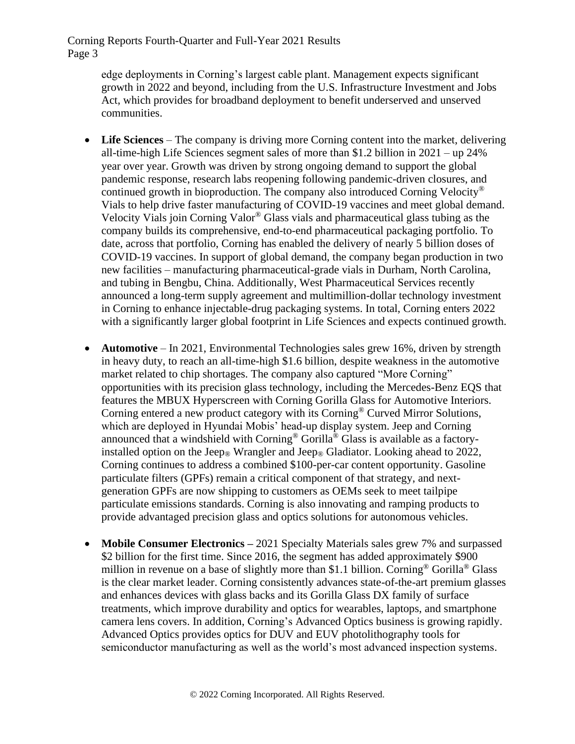> edge deployments in Corning's largest cable plant. Management expects significant growth in 2022 and beyond, including from the U.S. Infrastructure Investment and Jobs Act, which provides for broadband deployment to benefit underserved and unserved communities.

- **Life Sciences** The company is driving more Corning content into the market, delivering all-time-high Life Sciences segment sales of more than \$1.2 billion in 2021 – up 24% year over year. Growth was driven by strong ongoing demand to support the global pandemic response, research labs reopening following pandemic-driven closures, and continued growth in bioproduction. The company also introduced Corning Velocity<sup>®</sup> Vials to help drive faster manufacturing of COVID-19 vaccines and meet global demand. Velocity Vials join Corning Valor® Glass vials and pharmaceutical glass tubing as the company builds its comprehensive, end-to-end pharmaceutical packaging portfolio. To date, across that portfolio, Corning has enabled the delivery of nearly 5 billion doses of COVID-19 vaccines. In support of global demand, the company began production in two new facilities – manufacturing pharmaceutical-grade vials in Durham, North Carolina, and tubing in Bengbu, China. Additionally, West Pharmaceutical Services recently announced a long-term supply agreement and multimillion-dollar technology investment in Corning to enhance injectable-drug packaging systems. In total, Corning enters 2022 with a significantly larger global footprint in Life Sciences and expects continued growth.
- **Automotive** In 2021, Environmental Technologies sales grew 16%, driven by strength in heavy duty, to reach an all-time-high \$1.6 billion, despite weakness in the automotive market related to chip shortages. The company also captured "More Corning" opportunities with its precision glass technology, including the Mercedes-Benz EQS that features the MBUX Hyperscreen with Corning Gorilla Glass for Automotive Interiors. Corning entered a new product category with its Corning® Curved Mirror Solutions, which are deployed in Hyundai Mobis' head-up display system. Jeep and Corning announced that a windshield with Corning® Gorilla® Glass is available as a factoryinstalled option on the Jeep® Wrangler and Jeep® Gladiator. Looking ahead to 2022, Corning continues to address a combined \$100-per-car content opportunity. Gasoline particulate filters (GPFs) remain a critical component of that strategy, and nextgeneration GPFs are now shipping to customers as OEMs seek to meet tailpipe particulate emissions standards. Corning is also innovating and ramping products to provide advantaged precision glass and optics solutions for autonomous vehicles.
- **Mobile Consumer Electronics** 2021 Specialty Materials sales grew 7% and surpassed \$2 billion for the first time. Since 2016, the segment has added approximately \$900 million in revenue on a base of slightly more than \$1.1 billion. Corning® Gorilla® Glass is the clear market leader. Corning consistently advances state-of-the-art premium glasses and enhances devices with glass backs and its Gorilla Glass DX family of surface treatments, which improve durability and optics for wearables, laptops, and smartphone camera lens covers. In addition, Corning's Advanced Optics business is growing rapidly. Advanced Optics provides optics for DUV and EUV photolithography tools for semiconductor manufacturing as well as the world's most advanced inspection systems.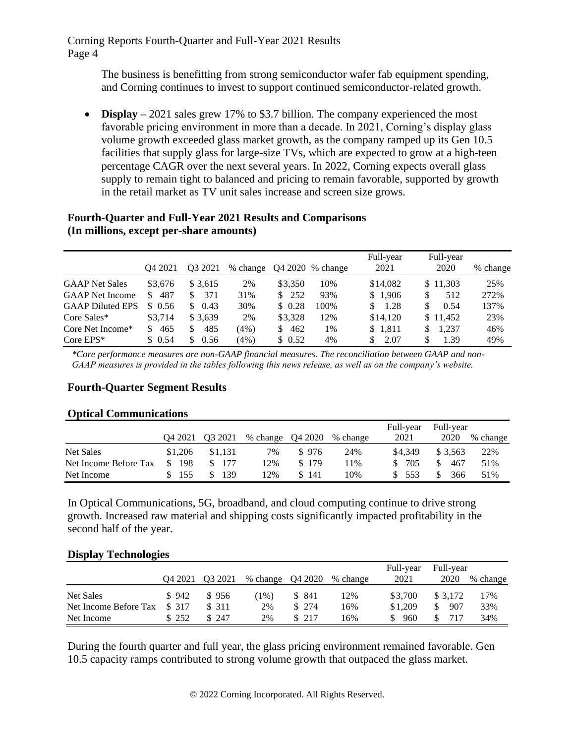> The business is benefitting from strong semiconductor wafer fab equipment spending, and Corning continues to invest to support continued semiconductor-related growth.

• **Display** – 2021 sales grew 17% to \$3.7 billion. The company experienced the most favorable pricing environment in more than a decade. In 2021, Corning's display glass volume growth exceeded glass market growth, as the company ramped up its Gen 10.5 facilities that supply glass for large-size TVs, which are expected to grow at a high-teen percentage CAGR over the next several years. In 2022, Corning expects overall glass supply to remain tight to balanced and pricing to remain favorable, supported by growth in the retail market as TV unit sales increase and screen size grows.

### **Fourth-Quarter and Full-Year 2021 Results and Comparisons (In millions, except per-share amounts)**

|                         |                     |                     |          |           |                         | Full-year  | Full-year   |          |
|-------------------------|---------------------|---------------------|----------|-----------|-------------------------|------------|-------------|----------|
|                         | O <sub>4</sub> 2021 | O <sub>3</sub> 2021 | % change |           | <b>O4 2020</b> % change | 2021       | 2020        | % change |
| <b>GAAP</b> Net Sales   | \$3.676             | \$ 3.615            | 2%       | \$3,350   | 10%                     | \$14,082   | \$11,303    | 25%      |
| <b>GAAP</b> Net Income  | 487<br>\$           | 371                 | 31%      | \$252     | 93%                     | \$1,906    | 512         | 272%     |
| <b>GAAP Diluted EPS</b> | 0.56<br>\$.         | 0.43<br>S.          | 30%      | \$0.28    | 100%                    | 1.28<br>S. | \$<br>0.54  | 137%     |
| Core Sales*             | \$3.714             | \$3.639             | 2%       | \$3,328   | 12%                     | \$14,120   | \$11,452    | 23%      |
| Core Net Income*        | 465<br>S.           | 485<br>S            | (4%)     | 462<br>S. | 1%                      | \$1,811    | 1.237<br>\$ | 46%      |
| Core EPS*               | \$0.54              | 0.56<br>S           | (4%)     | \$0.52    | 4%                      | 2.07<br>S  | 1.39        | 49%      |

*\*Core performance measures are non-GAAP financial measures. The reconciliation between GAAP and non-GAAP measures is provided in the tables following this news release, as well as on the company's website.*

# **Fourth-Quarter Segment Results**

# **Optical Communications**

|                       |                     |         |          |         |          | Full-year | Full-year            |          |
|-----------------------|---------------------|---------|----------|---------|----------|-----------|----------------------|----------|
|                       | O <sub>4</sub> 2021 | O3 2021 | % change | Q4 2020 | % change | 2021      | 2020                 | % change |
| Net Sales             | \$1,206             | \$1.131 | 7%       | \$976   | 24%      | \$4.349   | \$ 3.563             | 22%      |
| Net Income Before Tax | \$ 198              | \$ 177  | 12%      | \$179   | 11%      | \$ 705    | 467<br><sup>\$</sup> | 51%      |
| Net Income            | 155                 | 139     | 12%      | \$141   | 10%      | \$553     | 366                  | 51%      |

In Optical Communications, 5G, broadband, and cloud computing continue to drive strong growth. Increased raw material and shipping costs significantly impacted profitability in the second half of the year.

#### **Display Technologies**

|                       |         |         |                  |        |          | Full-year | Full-year |          |  |
|-----------------------|---------|---------|------------------|--------|----------|-----------|-----------|----------|--|
|                       | O4 2021 | O3 2021 | % change 04 2020 |        | % change | 2021      | 2020      | % change |  |
| Net Sales             | \$942   | \$956   | $1\%)$           | \$ 841 | 12%      | \$3,700   | \$ 3,172  | 17%      |  |
| Net Income Before Tax | \$ 317  | \$ 311  | 2%               | \$ 274 | 16%      | \$1,209   | 907<br>\$ | 33%      |  |
| Net Income            | \$252   | \$247   | 2%               | \$ 217 | 16%      | 960       | 717       | 34%      |  |

During the fourth quarter and full year, the glass pricing environment remained favorable. Gen 10.5 capacity ramps contributed to strong volume growth that outpaced the glass market.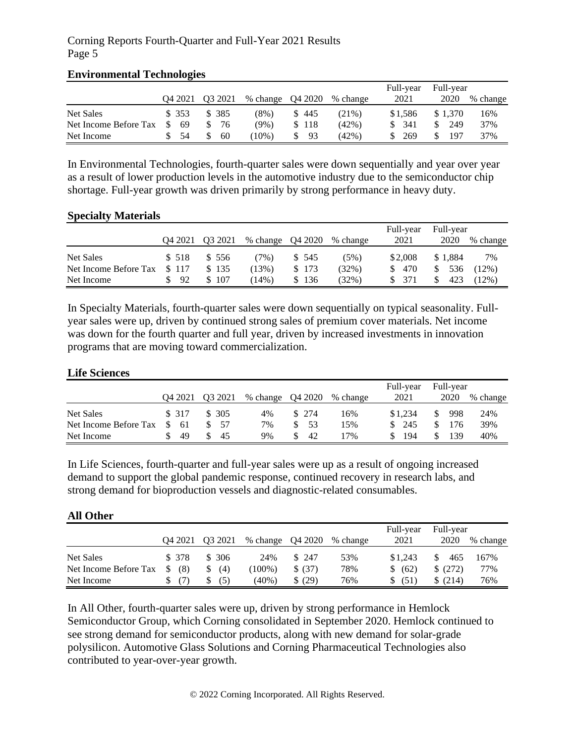|                  |                     |           |          |            |          | Full-vear | Full-year |          |
|------------------|---------------------|-----------|----------|------------|----------|-----------|-----------|----------|
|                  | O <sub>4</sub> 2021 | 03 2021   | % change | Q4 2020    | % change | 2021      | 2020      | % change |
| <b>Net Sales</b> | \$353               | \$ 385    | $(8\%)$  | \$ 445     | $(21\%)$ | \$1.586   | \$1.370   | 16%      |
|                  | -69                 | \$.<br>76 | $(9\%)$  | 118<br>S.  | $(42\%)$ | \$ 341    | 249       | 37%      |
| Net Income       | -54                 | \$.<br>60 | $(10\%)$ | -93<br>\$. | $(42\%)$ | 269       | 197       | 37%      |

### **Environmental Technologies**

In Environmental Technologies, fourth-quarter sales were down sequentially and year over year as a result of lower production levels in the automotive industry due to the semiconductor chip shortage. Full-year growth was driven primarily by strong performance in heavy duty.

#### **Specialty Materials**

|                             |        |                 |         |        |                           | Full-year | Full-year  |          |  |
|-----------------------------|--------|-----------------|---------|--------|---------------------------|-----------|------------|----------|--|
|                             |        | 04 2021 03 2021 |         |        | % change Q4 2020 % change | 2021      | 2020       | % change |  |
| Net Sales                   | \$ 518 | \$ 556          | (7%)    | \$ 545 | (5%)                      | \$2,008   | \$1.884    | 7%       |  |
| Net Income Before Tax \$117 |        | \$135           | (13%)   | \$173  | (32%)                     | \$470     | \$.<br>536 | $(12\%)$ |  |
| Net Income                  | 92     | \$107           | $14\%)$ | \$136  | $(32\%)$                  | \$ 371    | 423        | $(12\%)$ |  |

In Specialty Materials, fourth-quarter sales were down sequentially on typical seasonality. Fullyear sales were up, driven by continued strong sales of premium cover materials. Net income was down for the fourth quarter and full year, driven by increased investments in innovation programs that are moving toward commercialization.

#### **Life Sciences**

|                       |          |                     |          |         |          | Full-year | Full-year |          |
|-----------------------|----------|---------------------|----------|---------|----------|-----------|-----------|----------|
|                       | O4 2021  | O <sub>3</sub> 2021 | % change | O4 2020 | % change | 2021      | 2020      | % change |
| Net Sales             | \$ 317   | \$ 305              | 4%       | \$ 274  | 16%      | \$1,234   | \$<br>998 | 24%      |
| Net Income Before Tax | \$<br>61 | .57                 | 7%       | -53     | 15%      | 245       | \$<br>176 | 39%      |
| Net Income            | 49       | 45                  | 9%       | 42      | 17%      | 194       | 139       | 40%      |

In Life Sciences, fourth-quarter and full-year sales were up as a result of ongoing increased demand to support the global pandemic response, continued recovery in research labs, and strong demand for bioproduction vessels and diagnostic-related consumables.

#### **All Other**

|                       |           |           |           |         |          | Full-year | Full-year |          |
|-----------------------|-----------|-----------|-----------|---------|----------|-----------|-----------|----------|
|                       | O4 2021   | 03 2021   | % change  | O4 2020 | % change | 2021      | 2020      | % change |
| Net Sales             | \$ 378    | \$ 306    | 24%       | \$ 247  | 53%      | \$1.243   | 465<br>S  | 167%     |
| Net Income Before Tax | (8)<br>\$ | (4)<br>\$ | $100\%$ ) | \$ (37) | 78%      | (62)      | \$(272)   | 77%      |
| Net Income            |           | (5)       | (40%)     | \$(29)  | 76%      | (51)      | \$(214)   | 76%      |

In All Other, fourth-quarter sales were up, driven by strong performance in Hemlock Semiconductor Group, which Corning consolidated in September 2020. Hemlock continued to see strong demand for semiconductor products, along with new demand for solar-grade polysilicon. Automotive Glass Solutions and Corning Pharmaceutical Technologies also contributed to year-over-year growth.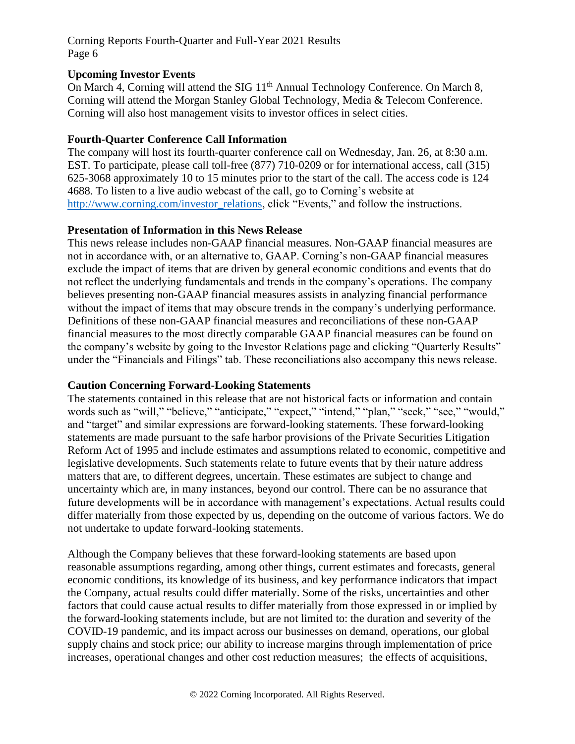#### **Upcoming Investor Events**

On March 4, Corning will attend the SIG  $11<sup>th</sup>$  Annual Technology Conference. On March 8, Corning will attend the Morgan Stanley Global Technology, Media & Telecom Conference. Corning will also host management visits to investor offices in select cities.

#### **Fourth-Quarter Conference Call Information**

The company will host its fourth-quarter conference call on Wednesday, Jan. 26, at 8:30 a.m. EST. To participate, please call toll-free (877) 710-0209 or for international access, call (315) 625-3068 approximately 10 to 15 minutes prior to the start of the call. The access code is 124 4688. To listen to a live audio webcast of the call, go to Corning's website at [http://www.corning.com/investor\\_relations,](http://www.corning.com/investor_relations) click "Events," and follow the instructions.

#### **Presentation of Information in this News Release**

This news release includes non-GAAP financial measures. Non-GAAP financial measures are not in accordance with, or an alternative to, GAAP. Corning's non-GAAP financial measures exclude the impact of items that are driven by general economic conditions and events that do not reflect the underlying fundamentals and trends in the company's operations. The company believes presenting non-GAAP financial measures assists in analyzing financial performance without the impact of items that may obscure trends in the company's underlying performance. Definitions of these non-GAAP financial measures and reconciliations of these non-GAAP financial measures to the most directly comparable GAAP financial measures can be found on the company's website by going to the Investor Relations page and clicking "Quarterly Results" under the "Financials and Filings" tab. These reconciliations also accompany this news release.

#### **Caution Concerning Forward-Looking Statements**

The statements contained in this release that are not historical facts or information and contain words such as "will," "believe," "anticipate," "expect," "intend," "plan," "seek," "see," "would," and "target" and similar expressions are forward-looking statements. These forward-looking statements are made pursuant to the safe harbor provisions of the Private Securities Litigation Reform Act of 1995 and include estimates and assumptions related to economic, competitive and legislative developments. Such statements relate to future events that by their nature address matters that are, to different degrees, uncertain. These estimates are subject to change and uncertainty which are, in many instances, beyond our control. There can be no assurance that future developments will be in accordance with management's expectations. Actual results could differ materially from those expected by us, depending on the outcome of various factors. We do not undertake to update forward-looking statements.

Although the Company believes that these forward-looking statements are based upon reasonable assumptions regarding, among other things, current estimates and forecasts, general economic conditions, its knowledge of its business, and key performance indicators that impact the Company, actual results could differ materially. Some of the risks, uncertainties and other factors that could cause actual results to differ materially from those expressed in or implied by the forward-looking statements include, but are not limited to: the duration and severity of the COVID-19 pandemic, and its impact across our businesses on demand, operations, our global supply chains and stock price; our ability to increase margins through implementation of price increases, operational changes and other cost reduction measures; the effects of acquisitions,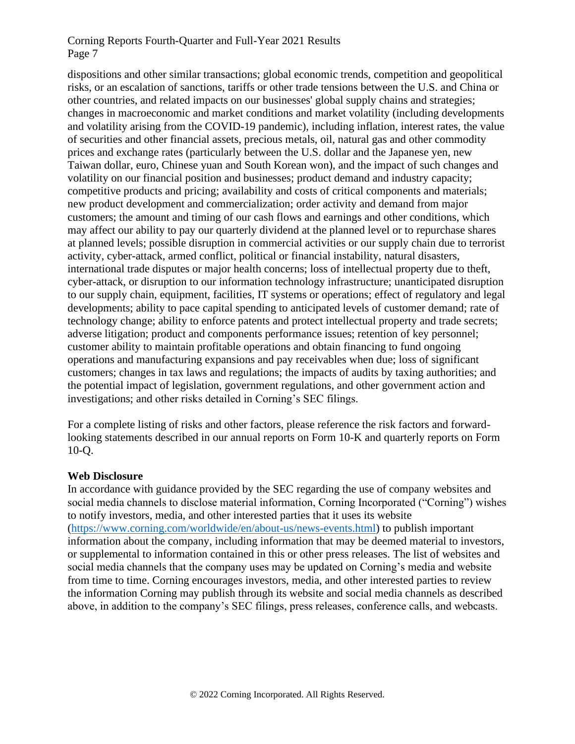dispositions and other similar transactions; global economic trends, competition and geopolitical risks, or an escalation of sanctions, tariffs or other trade tensions between the U.S. and China or other countries, and related impacts on our businesses' global supply chains and strategies; changes in macroeconomic and market conditions and market volatility (including developments and volatility arising from the COVID-19 pandemic), including inflation, interest rates, the value of securities and other financial assets, precious metals, oil, natural gas and other commodity prices and exchange rates (particularly between the U.S. dollar and the Japanese yen, new Taiwan dollar, euro, Chinese yuan and South Korean won), and the impact of such changes and volatility on our financial position and businesses; product demand and industry capacity; competitive products and pricing; availability and costs of critical components and materials; new product development and commercialization; order activity and demand from major customers; the amount and timing of our cash flows and earnings and other conditions, which may affect our ability to pay our quarterly dividend at the planned level or to repurchase shares at planned levels; possible disruption in commercial activities or our supply chain due to terrorist activity, cyber-attack, armed conflict, political or financial instability, natural disasters, international trade disputes or major health concerns; loss of intellectual property due to theft, cyber-attack, or disruption to our information technology infrastructure; unanticipated disruption to our supply chain, equipment, facilities, IT systems or operations; effect of regulatory and legal developments; ability to pace capital spending to anticipated levels of customer demand; rate of technology change; ability to enforce patents and protect intellectual property and trade secrets; adverse litigation; product and components performance issues; retention of key personnel; customer ability to maintain profitable operations and obtain financing to fund ongoing operations and manufacturing expansions and pay receivables when due; loss of significant customers; changes in tax laws and regulations; the impacts of audits by taxing authorities; and the potential impact of legislation, government regulations, and other government action and investigations; and other risks detailed in Corning's SEC filings.

For a complete listing of risks and other factors, please reference the risk factors and forwardlooking statements described in our annual reports on Form 10-K and quarterly reports on Form 10-Q.

#### **Web Disclosure**

In accordance with guidance provided by the SEC regarding the use of company websites and social media channels to disclose material information, Corning Incorporated ("Corning") wishes to notify investors, media, and other interested parties that it uses its website [\(https://www.corning.com/worldwide/en/about-us/news-events.html\)](https://www.corning.com/worldwide/en/about-us/news-events.html) to publish important information about the company, including information that may be deemed material to investors, or supplemental to information contained in this or other press releases. The list of websites and social media channels that the company uses may be updated on Corning's media and website from time to time. Corning encourages investors, media, and other interested parties to review the information Corning may publish through its website and social media channels as described above, in addition to the company's SEC filings, press releases, conference calls, and webcasts.